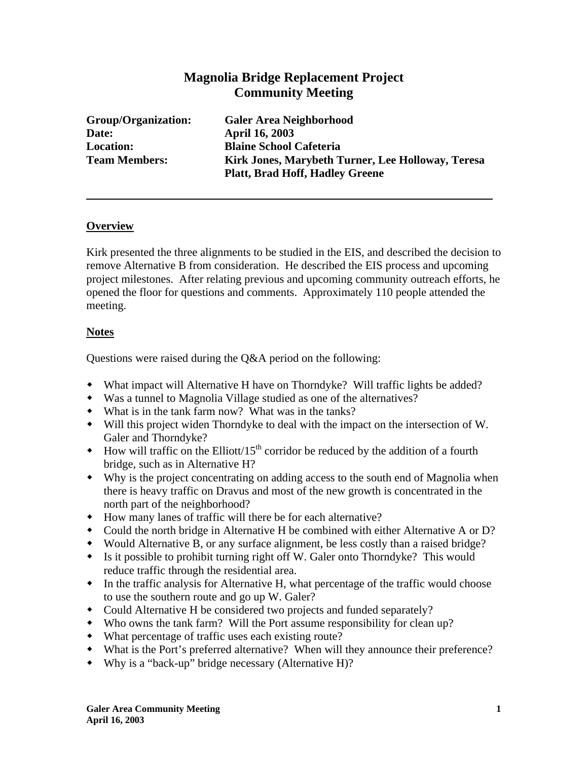# **Magnolia Bridge Replacement Project Community Meeting**

**Date: April 16, 2003** 

**Group/Organization: Galer Area Neighborhood Location: Blaine School Cafeteria Team Members: Kirk Jones, Marybeth Turner, Lee Holloway, Teresa Platt, Brad Hoff, Hadley Greene** 

### **Overview**

Kirk presented the three alignments to be studied in the EIS, and described the decision to remove Alternative B from consideration. He described the EIS process and upcoming project milestones. After relating previous and upcoming community outreach efforts, he opened the floor for questions and comments. Approximately 110 people attended the meeting.

## **Notes**

Questions were raised during the Q&A period on the following:

- What impact will Alternative H have on Thorndyke? Will traffic lights be added?
- Was a tunnel to Magnolia Village studied as one of the alternatives?
- What is in the tank farm now? What was in the tanks?
- Will this project widen Thorndyke to deal with the impact on the intersection of W. Galer and Thorndyke?
- $\bullet$  How will traffic on the Elliott/15<sup>th</sup> corridor be reduced by the addition of a fourth bridge, such as in Alternative H?
- Why is the project concentrating on adding access to the south end of Magnolia when there is heavy traffic on Dravus and most of the new growth is concentrated in the north part of the neighborhood?
- How many lanes of traffic will there be for each alternative?
- Could the north bridge in Alternative H be combined with either Alternative A or D?
- Would Alternative B, or any surface alignment, be less costly than a raised bridge?
- Is it possible to prohibit turning right off W. Galer onto Thorndyke? This would reduce traffic through the residential area.
- In the traffic analysis for Alternative H, what percentage of the traffic would choose to use the southern route and go up W. Galer?
- Could Alternative H be considered two projects and funded separately?
- Who owns the tank farm? Will the Port assume responsibility for clean up?
- What percentage of traffic uses each existing route?
- What is the Port's preferred alternative? When will they announce their preference?
- Why is a "back-up" bridge necessary (Alternative H)?